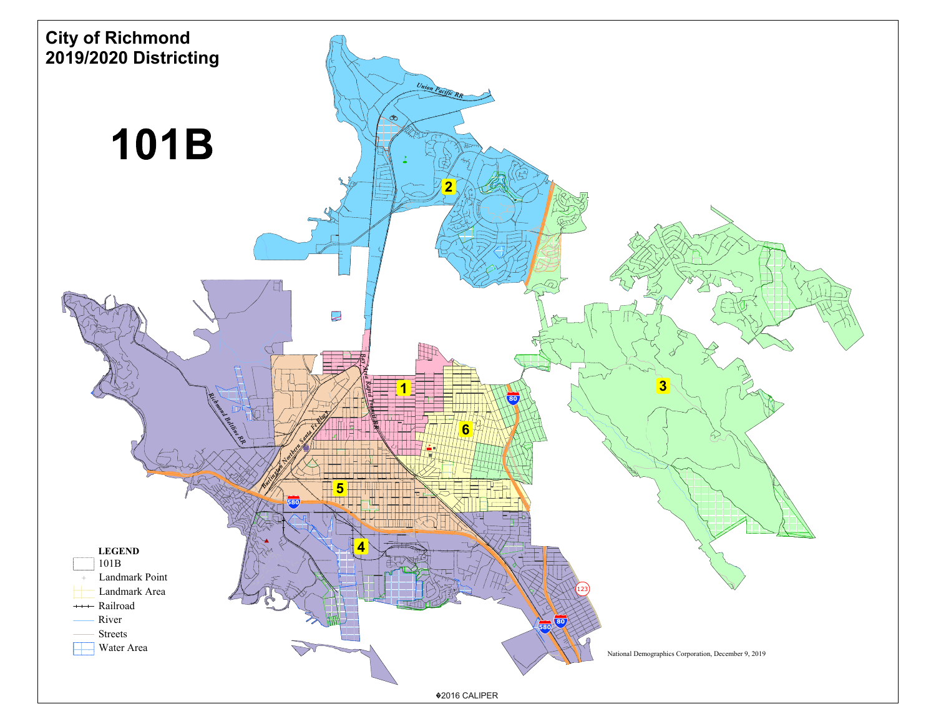